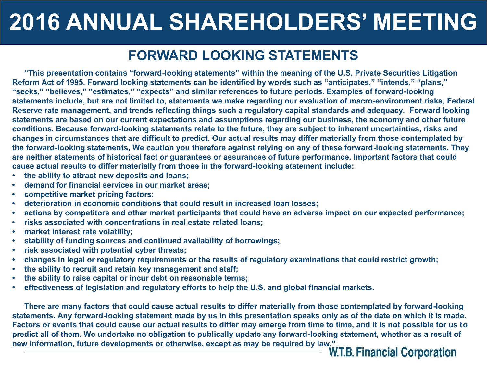### **FORWARD LOOKING STATEMENTS**

 **"This presentation contains "forward-looking statements" within the meaning of the U.S. Private Securities Litigation "seeks," "believes," "estimates," "expects" and similar references to future periods. Examples of forward-looking statements include, but are not limited to, statements we make regarding our evaluation of macro-environment risks, Federal**  Reserve rate management, and trends reflecting things such a regulatory capital standards and adequacy. Forward looking statements are based on our current expectations and assumptions regarding our business, the economy and other future conditions. Because forward-looking statements relate to the future, they are subject to inherent uncertainties, risks and changes in circumstances that are difficult to predict. Our actual results may differ materially from those contemplated by the forward-looking statements, We caution you therefore against relying on any of these forward-looking statements. They  **are neither statements of historical fact or guarantees or assurances of future performance. Important factors that could cause actual results to differ materially from those in the forward-looking statement include:** on contains "forward-looking<br>Forward looking statements<br>' "estimates," "expects" and statements include, but are not limited to, statements<br>Reserve rate management, and trends reflecting thing<br>statements are based on our current expectations and<br>conditions. Because forward-looking statements relate<br>thanges **2016 ANNUAL SHAREHOLDERS' MEETING**<br>
FORWARD LOOKING STATEMENTS<br>
"This presentation contains "forward-looking statements" within the meaning of the U.S. Frivate Securities Litgation Reform And of Year Securities with the m **Reform Act of 1995. Forward looking statements can be identified by words such as "anticipates," "intends," "plans,"** 

- **• the ability to attract new deposits and loans;**
- **• demand for financial services in our market areas;**
- **• competitive market pricing factors;**
- **• deterioration in economic conditions that could result in increased loan losses;**
- **• actions by competitors and other market participants that could have an adverse impact on our expected performance;**
- **• risks associated with concentrations in real estate related loans;**
- **• market interest rate volatility;**
- **• stability of funding sources and continued availability of borrowings;**
- **• risk associated with potential cyber threats;**
- **• changes in legal or regulatory requirements or the results of regulatory examinations that could restrict growth;**
- **• the ability to recruit and retain key management and staff;**
- the ability to recruit and ret<br>the ability to raise capital or<br>effectiveness of legislation **• the ability to raise capital or incur debt on reasonable terms;**
- **• effectiveness of legislation and regulatory efforts to help the U.S. and global financial markets.**

There are many factors that could cause actual results to differ materially from those contemplated by forward-looking statements. Any forward-looking statement made by us in this presentation speaks only as of the date on which it is made. Factors or events that could cause our actual results to differ may emerge from time to time, and it is not possible for us to predict all of them. We undertake no obligation to publically update any forward-looking statement, whether as a result of  **new information, future developments or otherwise, except as may be required by law."**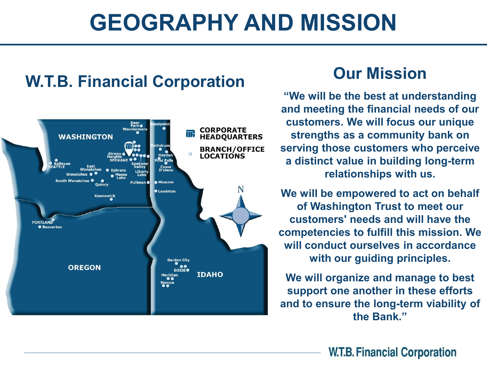### **GEOGRAPHY AND MISSION**

### **Our Mission W.T.B. Financial Corporation**



 **"We will be the best at understanding and meeting the financial needs of our strengths as a community bank on relationships with us.**  e will be the best at understan<br>meeting the financial needs of<br>stomers. We will focus our un<br>rengths as a community bank<br>ving those customers who per<br>istinct value in building long-<br>relationships with us.<br>will be empowered **customers. We will focus our unique serving those customers who perceive a distinct value in building long-term** 

 **We will be empowered to act on behalf of Washington Trust to meet our customers' needs and will have the competencies to fulfill this mission. We will conduct ourselves in accordance with our guiding principles.** 

 **We will organize and manage to best and to ensure the long-term viability of support one another in these efforts the Bank."**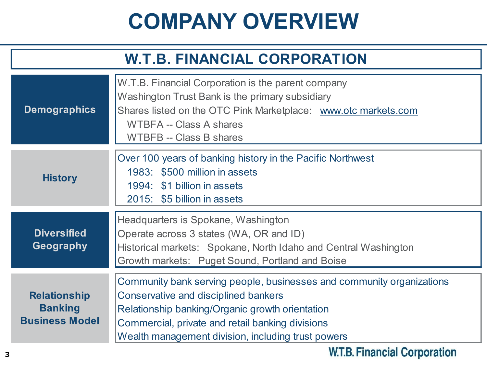### **COMPANY OVERVIEW**

|                                                                | <b>W.T.B. FINANCIAL CORPORATION</b>                                                                                                                                                                                                                                        |  |  |  |  |  |  |
|----------------------------------------------------------------|----------------------------------------------------------------------------------------------------------------------------------------------------------------------------------------------------------------------------------------------------------------------------|--|--|--|--|--|--|
| <b>Demographics</b>                                            | W.T.B. Financial Corporation is the parent company<br>Washington Trust Bank is the primary subsidiary<br>Shares listed on the OTC Pink Marketplace: www.otc markets.com<br><b>WTBFA -- Class A shares</b><br><b>WTBFB -- Class B shares</b>                                |  |  |  |  |  |  |
| <b>History</b>                                                 | Over 100 years of banking history in the Pacific Northwest<br>1983: \$500 million in assets<br>1994: \$1 billion in assets<br>2015: \$5 billion in assets                                                                                                                  |  |  |  |  |  |  |
| <b>Diversified</b><br>Geography                                | Headquarters is Spokane, Washington<br>Operate across 3 states (WA, OR and ID)<br>Historical markets: Spokane, North Idaho and Central Washington<br>Growth markets: Puget Sound, Portland and Boise                                                                       |  |  |  |  |  |  |
| <b>Relationship</b><br><b>Banking</b><br><b>Business Model</b> | Community bank serving people, businesses and community organizations<br>Conservative and disciplined bankers<br>Relationship banking/Organic growth orientation<br>Commercial, private and retail banking divisions<br>Wealth management division, including trust powers |  |  |  |  |  |  |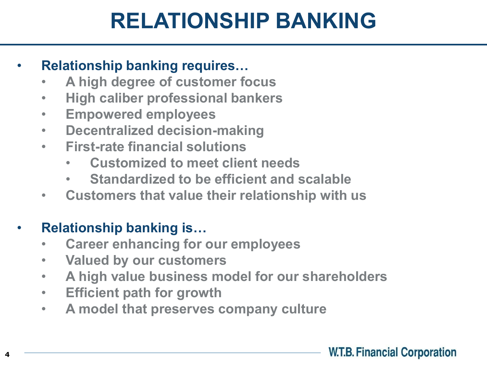### **RELATIONSHIP BANKING**<br> **Relationship banking requires...**<br>
A high degree of customer focus

### • **Relationship banking requires…**

- **A high degree of customer focus**
- **High caliber professional bankers**
- **Empowered employees**
- **Decentralized decision-making**
- **First-rate financial solutions**
	- **Customized to meet client needs**
	- **Standardized to be efficient and scalable**
- High caliber professional<br>Empowered employees<br>Decentralized decision-ma<br>First-rate financial solutio<br>• Customized to meet c<br>• Standardized to be eff<br>Customers that value thei<br>Relationship banking is...<br>Career enhancing for • **Customers that value their relationship with us**

### • **Relationship banking is…**

- **Career enhancing for our employees**
- **Valued by our customers**
- **A high value business model for our shareholders**
- **Efficient path for growth**
- **A model that preserves company culture**  $\bullet$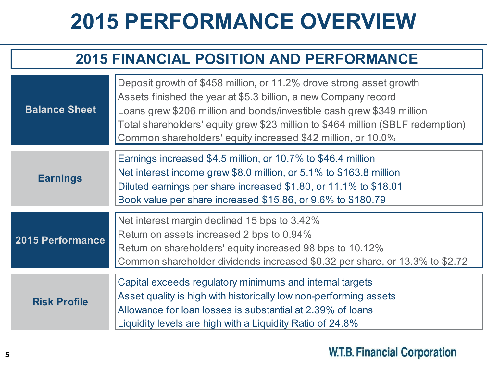### **2015 PERFORMANCE OVERVIEW**

### **2015 FINANCIAL POSITION AND PERFORMANCE**

| <b>Balance Sheet</b>    | Deposit growth of \$458 million, or 11.2% drove strong asset growth<br>Assets finished the year at \$5.3 billion, a new Company record<br>Loans grew \$206 million and bonds/investible cash grew \$349 million<br>Total shareholders' equity grew \$23 million to \$464 million (SBLF redemption)<br>Common shareholders' equity increased \$42 million, or 10.0% |
|-------------------------|--------------------------------------------------------------------------------------------------------------------------------------------------------------------------------------------------------------------------------------------------------------------------------------------------------------------------------------------------------------------|
| <b>Earnings</b>         | Earnings increased \$4.5 million, or 10.7% to \$46.4 million<br>Net interest income grew \$8.0 million, or 5.1% to \$163.8 million<br>Diluted earnings per share increased \$1.80, or 11.1% to \$18.01<br>Book value per share increased \$15.86, or 9.6% to \$180.79                                                                                              |
| <b>2015 Performance</b> | Net interest margin declined 15 bps to 3.42%<br>Return on assets increased 2 bps to 0.94%<br>Return on shareholders' equity increased 98 bps to 10.12%<br>Common shareholder dividends increased \$0.32 per share, or 13.3% to \$2.72                                                                                                                              |
| <b>Risk Profile</b>     | Capital exceeds regulatory minimums and internal targets<br>Asset quality is high with historically low non-performing assets<br>Allowance for loan losses is substantial at 2.39% of loans<br>Liquidity levels are high with a Liquidity Ratio of 24.8%                                                                                                           |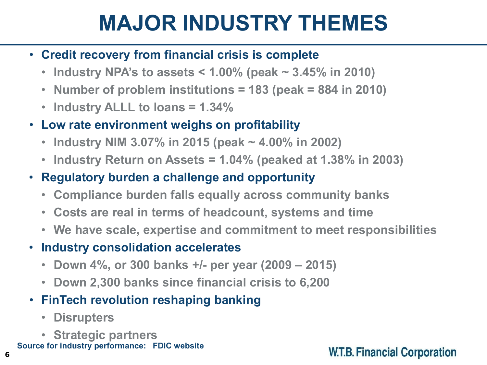### **MAJOR INDUSTRY THEMES**

- **Credit recovery from financial crisis is complete**
	- **Industry NPA's to assets < 1.00% (peak ~ 3.45% in 2010)**
	- Industry NPA's to assets < 1.00% (pea<br>Number of problem institutions = 183<br>Industry ALLL to loans = 1.34% • **Number of problem institutions = 183 (peak = 884 in 2010)**
	- **Industry ALLL to loans = 1.34%**
- • **Low rate environment weighs on profitability**
	- **Industry NIM 3.07% in 2015 (peak ~ 4.00% in 2002)**
	- **Industry Return on Assets = 1.04% (peaked at 1.38% in 2003)**
- in 2015 (peak<br>Assets = 1.04<br>challenge and<br>i falls equally • **Regulatory burden a challenge and opportunity**
	- **Compliance burden falls equally across community banks**
	- **Costs are real in terms of headcount, systems and time**
	- **We have scale, expertise and commitment to meet responsibilities**
- **Industry consolidation accelerates** 
	- **Down 4%, or 300 banks +/- per year (2009 – 2015)**
	- **Down 2,300 banks since financial crisis to 6,200**  $\bullet$
- **FinTech revolution reshaping banking**
	- **Disrupters**

**6** 

 **Source for industry performance: FDIC website** • **Strategic partners**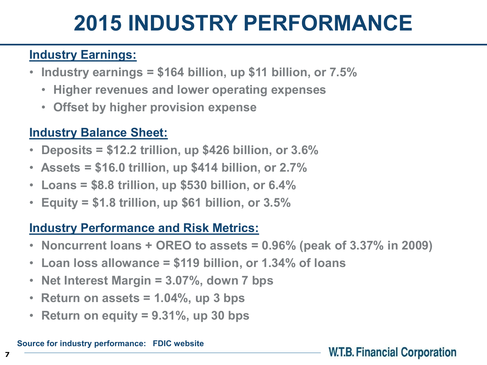# **2015 INDUSTRY PERFORMANCE**<br> **Earnings:**<br>
try earnings = \$164 billion, up \$11 billion, or 7.5%<br>
her revenues and lower operating expenses<br>
<u>est</u> by higher provision expense<br>
<u>rest by higher provision</u> expense<br>
<u>rest stest:</u>

### **Industry Earnings:**

- • **Industry earnings = \$164 billion, up \$11 billion, or 7.5%**
	- **Higher revenues and lower operating expenses**
	- **Offset by higher provision expense**

- **Industry Balance Sheet:**  • **Deposits = \$12.2 trillion, up \$426 billion, or 3.6%**
- **Assets = \$16.0 trillion, up \$414 billion, or 2.7%**
- **Loans = \$8.8 trillion, up \$530 billion, or 6.4%**
- **Equity = \$1.8 trillion, up \$61 billion, or 3.5%**

### **Industry Performance and Risk Metrics:**

- **Noncurrent loans + OREO to assets = 0.96% (peak of 3.37% in 2009)**
- **Loan loss allowance = \$119 billion, or 1.34% of loans**
- **Net Interest Margin = 3.07%, down 7 bps**
- **Return on assets = 1.04%, up 3 bps**
- **Return on equity = 9.31%, up 30 bps**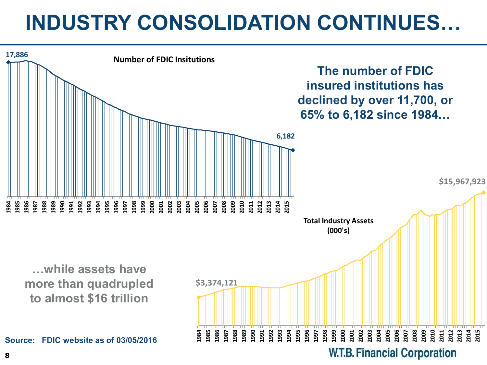### **INDUSTRY CONSOLIDATION CONTINUES…**

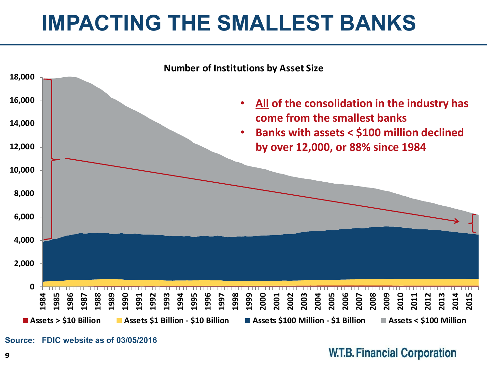### **IMPACTING THE SMALLEST BANKS**



 **Source: FDIC website as of 03/05/2016**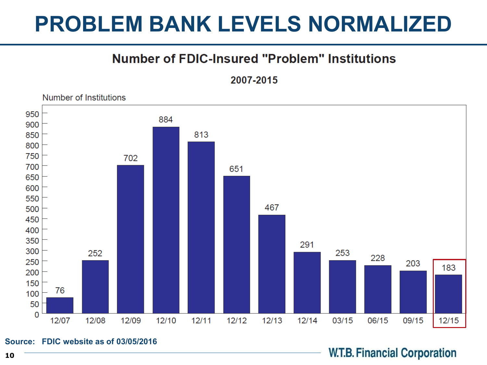### **PROBLEM BANK LEVELS NORMALIZED**

### **Number of FDIC-Insured "Problem" Institutions**

2007-2015



### **Source: FDIC website as of 03/05/2016**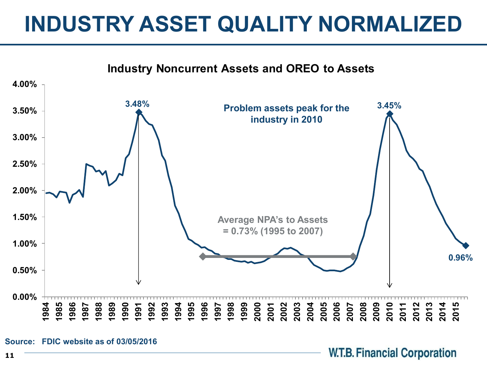### **INDUSTRY ASSET QUALITY NORMALIZED**



 **Source: FDIC website as of 03/05/2016**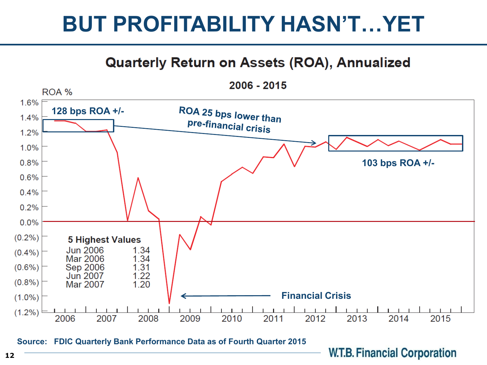

 **Source: FDIC Quarterly Bank Performance Data as of Fourth Quarter 2015**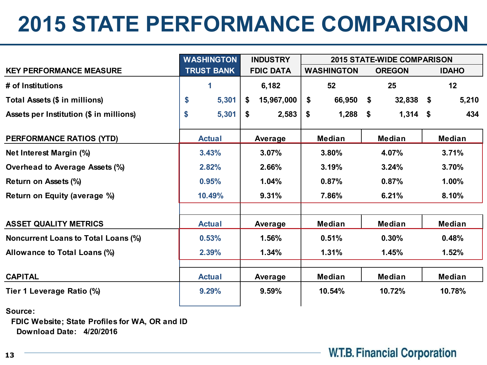### **2015 STATE PERFORMANCE COMPARISON**

|                                            |                   | <b>WASHINGTON</b> |                  | <b>INDUSTRY</b> |                   | <b>2015 STATE-WIDE COMPARISON</b> |       |               |       |               |  |
|--------------------------------------------|-------------------|-------------------|------------------|-----------------|-------------------|-----------------------------------|-------|---------------|-------|---------------|--|
| <b>KEY PERFORMANCE MEASURE</b>             | <b>TRUST BANK</b> |                   | <b>FDIC DATA</b> |                 | <b>WASHINGTON</b> |                                   |       | <b>OREGON</b> |       | <b>IDAHO</b>  |  |
| # of Institutions                          |                   |                   |                  | 6,182           |                   | 52                                |       | 25            |       | 12            |  |
| Total Assets (\$ in millions)              | \$                | 5,301             | \$               | 15,967,000      | \$                | 66,950 \$                         |       | $32,838$ \$   |       | 5,210         |  |
| Assets per Institution (\$ in millions)    | \$                | 5,301             | \$               | 2,583           | \$                | $1,288$ \$                        |       | 1,314         | \$    | 434           |  |
| <b>PERFORMANCE RATIOS (YTD)</b>            |                   | <b>Actual</b>     |                  | Average         |                   | <b>Median</b>                     |       | <b>Median</b> |       | <b>Median</b> |  |
| Net Interest Margin (%)                    |                   | 3.43%             |                  | 3.07%           |                   | 3.80%                             |       | 4.07%         |       | 3.71%         |  |
| <b>Overhead to Average Assets (%)</b>      |                   | 2.82%             |                  | 2.66%           |                   | 3.19%                             |       | 3.24%         |       | 3.70%         |  |
| Return on Assets (%)                       |                   | 0.95%             |                  | 1.04%           |                   | 0.87%                             |       | 0.87%         |       | 1.00%         |  |
| Return on Equity (average %)               |                   | 10.49%            |                  | 9.31%           |                   | 7.86%                             |       | 6.21%         |       | 8.10%         |  |
| <b>ASSET QUALITY METRICS</b>               |                   | <b>Actual</b>     |                  | Average         |                   | <b>Median</b>                     |       | <b>Median</b> |       | <b>Median</b> |  |
| <b>Noncurrent Loans to Total Loans (%)</b> |                   | 0.53%             |                  | 1.56%           |                   | 0.51%                             |       | 0.30%         |       | 0.48%         |  |
| Allowance to Total Loans (%)               |                   | 2.39%             |                  | 1.34%           | 1.31%             |                                   | 1.45% |               | 1.52% |               |  |
| <b>CAPITAL</b>                             |                   | <b>Actual</b>     |                  | Average         |                   | <b>Median</b>                     |       | <b>Median</b> |       | <b>Median</b> |  |
| Tier 1 Leverage Ratio (%)                  |                   | 9.29%             |                  | 9.59%           |                   | 10.54%                            |       | 10.72%        |       | 10.78%        |  |

**Source:** 

**FDIC Website; State Profiles for WA, OR and ID Download Date: 4/20/2016**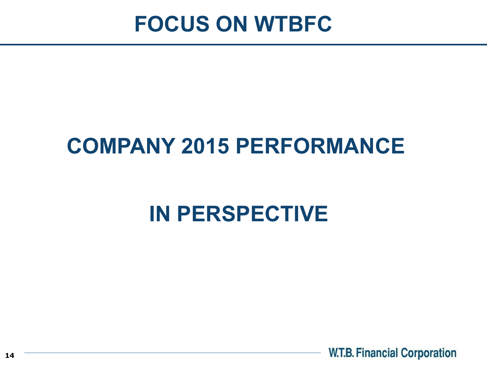### **FOCUS ON WTBFC**

### **COMPANY 2015 PERFORMANCE**

### **IN PERSPECTIVE**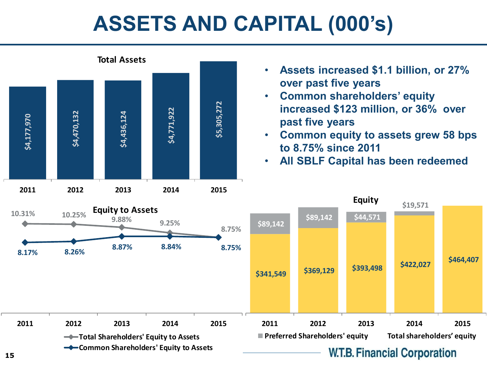

- **over past five years** • **Assets increased \$1.1 billion, or 27%**
- **Common shareholders' equity past five years increased \$123 million, or 36% over**
- **Common equity to assets grew 58 bps to 8.75% since 2011**

**\$19,571** 

**W.T.B. Financial Corporation** 

 • **All SBLF Capital has been redeemed**

**Equity**

**\$89,142 \$44,571** 

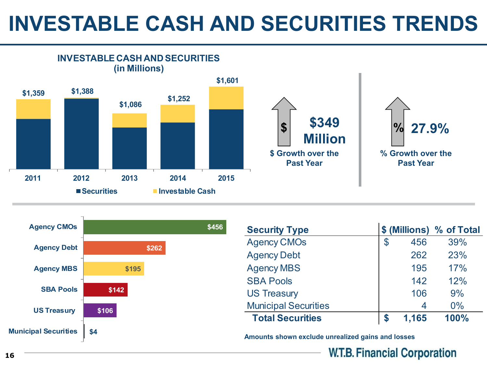### **INVESTABLE CASH AND SECURITIES TRENDS**



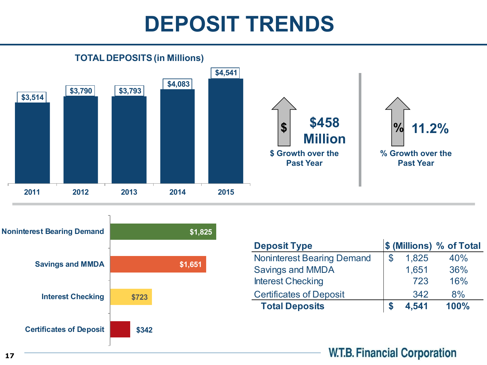### **DEPOSIT TRENDS**

**TOTAL DEPOSITS (in Millions)**





| <b>Deposit Type</b>               |             | \$ (Millions) % of Total |
|-----------------------------------|-------------|--------------------------|
| <b>Noninterest Bearing Demand</b> | \$<br>1,825 | 40%                      |
| <b>Savings and MMDA</b>           | 1,651       | 36%                      |
| <b>Interest Checking</b>          | 723         | 16%                      |
| <b>Certificates of Deposit</b>    | 342         | 8%                       |
| <b>Total Deposits</b>             | 4,541       | 100%                     |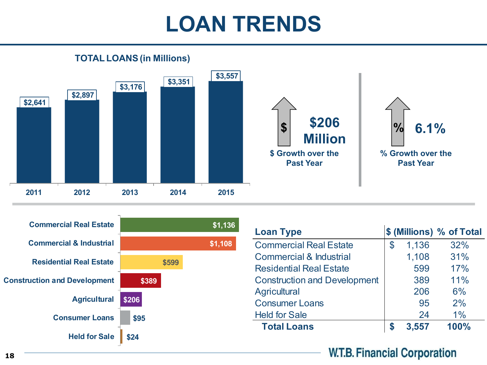### **LOAN TRENDS**

**TOTAL LOANS (in Millions)**



| <b>Commercial Real Estate</b>       |       | \$1,136 | <b>Loan Type</b>                    |                            |       | \$ (Millions) % of Total |
|-------------------------------------|-------|---------|-------------------------------------|----------------------------|-------|--------------------------|
| <b>Commercial &amp; Industrial</b>  |       | \$1,108 | <b>Commercial Real Estate</b>       | $\boldsymbol{\mathsf{\$}}$ | 1,136 | 32%                      |
| <b>Residential Real Estate</b>      | \$599 |         | <b>Commercial &amp; Industrial</b>  |                            | 1,108 | 31%                      |
|                                     |       |         | <b>Residential Real Estate</b>      |                            | 599   | 17%                      |
| <b>Construction and Development</b> | \$389 |         | <b>Construction and Development</b> |                            | 389   | 11%                      |
|                                     |       |         | Agricultural                        |                            | 206   | 6%                       |
| <b>Agricultural</b>                 | \$206 |         | <b>Consumer Loans</b>               |                            | 95    | 2%                       |
| <b>Consumer Loans</b>               | \$95  |         | <b>Held for Sale</b>                |                            | 24    | 1%                       |
|                                     |       |         | <b>Total Loans</b>                  | \$                         | 3,557 | 100%                     |
| <b>Held for Sale</b>                | \$24  |         |                                     |                            |       |                          |
|                                     |       |         |                                     |                            |       |                          |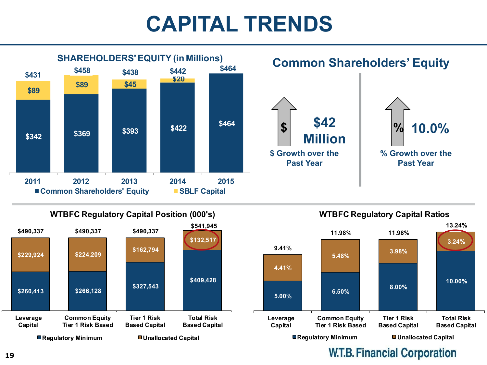

**WTBFC Regulatory Capital Position (000's)**





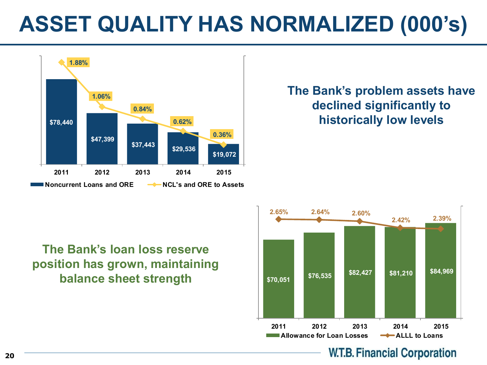### **ASSET QUALITY HAS NORMALIZED (000's)**



### **historically low levels The Bank's problem assets have declined significantly to**

 **position has grown, maintaining The Bank's loan loss reserve** 

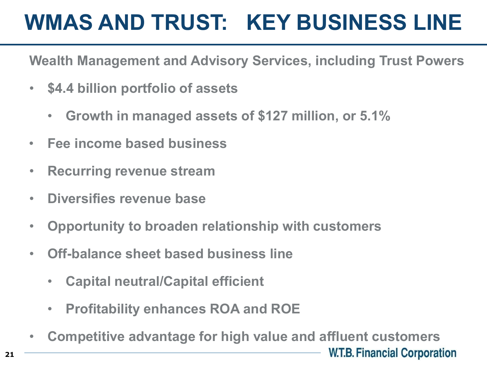### **WMAS AND TRUST: KEY BUSINESS LINE**<br>
Wealth Management and Advisory Services, including Trust Powers<br>
• \$4.4 billion portfolio of assets<br>
• Growth in managed assets of \$127 million, or 5.1%

 **Wealth Management and Advisory Services, including Trust Powers**

- **\$4.4 billion portfolio of assets**
	- **Growth in managed assets of \$127 million, or 5.1%**
- **Fee income based business**
- **Recurring revenue stream**
- **Diversifies revenue base**
- **Opportunity to broaden relationship with customers**
- **Off-balance sheet based business line**
	- **Capital neutral/Capital efficient**
	- **Profitability enhances ROA and ROE**
- **Competitive advantage for high value and affluent customers**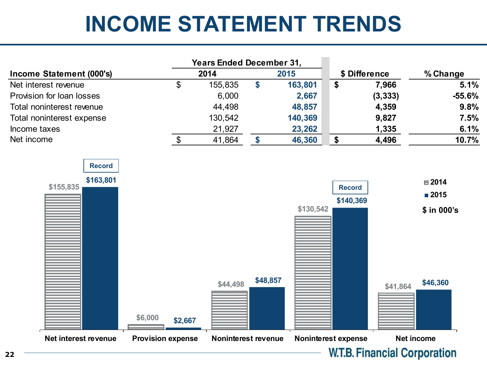### **INCOME STATEMENT TRENDS**

|                           | <b>Years Ended December 31,</b> |   |         |               |          |
|---------------------------|---------------------------------|---|---------|---------------|----------|
| Income Statement (000's)  | 2014                            |   | 2015    | \$ Difference | % Change |
| Net interest revenue      | \$<br>155,835                   | D | 163,801 | \$<br>7,966   | 5.1%     |
| Provision for loan losses | 6,000                           |   | 2,667   | (3, 333)      | $-55.6%$ |
| Total noninterest revenue | 44,498                          |   | 48,857  | 4,359         | 9.8%     |
| Total noninterest expense | 130,542                         |   | 140,369 | 9,827         | 7.5%     |
| Income taxes              | 21,927                          |   | 23,262  | 1,335         | 6.1%     |
| Net income                | \$<br>41,864                    |   | 46,360  | 4,496         | 10.7%    |

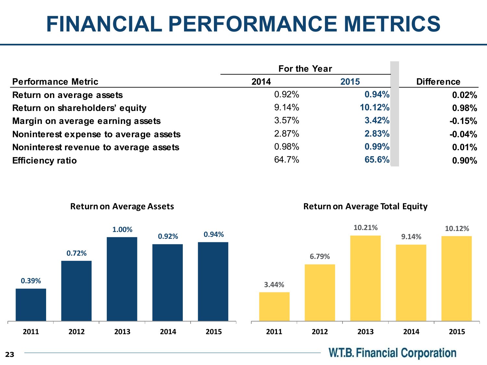### **FINANCIAL PERFORMANCE METRICS**

|                                       | For the Year |        |                   |  |
|---------------------------------------|--------------|--------|-------------------|--|
| <b>Performance Metric</b>             | 2014         | 2015   | <b>Difference</b> |  |
| Return on average assets              | 0.92%        | 0.94%  | 0.02%             |  |
| Return on shareholders' equity        | 9.14%        | 10.12% | 0.98%             |  |
| Margin on average earning assets      | 3.57%        | 3.42%  | $-0.15%$          |  |
| Noninterest expense to average assets | 2.87%        | 2.83%  | $-0.04%$          |  |
| Noninterest revenue to average assets | 0.98%        | 0.99%  | 0.01%             |  |
| <b>Efficiency ratio</b>               | 64.7%        | 65.6%  | 0.90%             |  |

**Return on Average Assets**



**Return on Average Total Equity**

**Contract** 

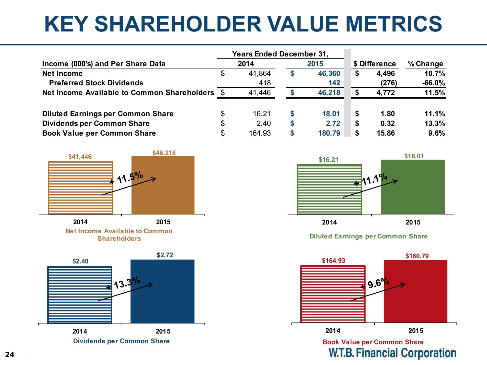### **KEY SHAREHOLDER VALUE METRICS**

| <u>UITAINEI IVEDEN VALUE METINGU</u>           |    |                                 |    |        |    |               |          |  |
|------------------------------------------------|----|---------------------------------|----|--------|----|---------------|----------|--|
|                                                |    | <b>Years Ended December 31,</b> |    |        |    |               |          |  |
| Income (000's) and Per Share Data              |    | 2014                            |    | 2015   |    | \$ Difference | % Change |  |
| Net Income                                     | \$ | 41,864                          | \$ | 46,360 | \$ | 4,496         | 10.7%    |  |
| <b>Preferred Stock Dividends</b>               |    | 418                             |    | 142    |    | (276)         | $-66.0%$ |  |
| Net Income Available to Common Shareholders \$ |    | 41,446                          |    | 46,218 |    | 4,772         | 11.5%    |  |
| <b>Diluted Earnings per Common Share</b>       | \$ | 16.21                           | \$ | 18.01  | \$ | 1.80          | 11.1%    |  |
| <b>Dividends per Common Share</b>              | \$ | 2.40                            | \$ | 2.72   | \$ | 0.32          | 13.3%    |  |
| <b>Book Value per Common Share</b>             | \$ | 164.93                          | \$ | 180.79 | \$ | 15.86         | 9.6%     |  |



**Net Income Available to Common Shareholders**





**Diluted Earnings per Common Share** 

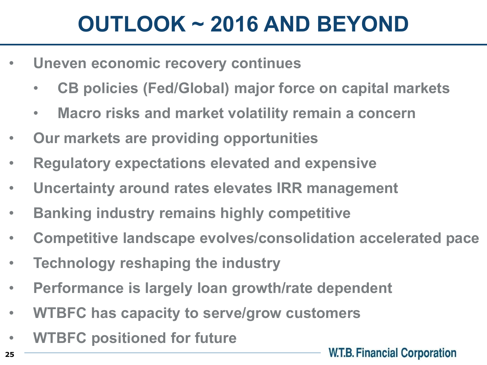# **OUTLOOK ~ 2016 AND BEYOND**<br>
In economic recovery continues<br>
policies (Fed/Global) major force on capital ma<br>
cro risks and market volatility remain a concern<br>
arkets are providing opportunities<br>
atory expectations elevate

- • **Uneven economic recovery continues**
	- **CB policies (Fed/Global) major force on capital markets**
	- **Macro risks and market volatility remain a concern**
- **Our markets are providing opportunities**
- **Regulatory expectations elevated and expensive**
- **Uncertainty around rates elevates IRR management**
- **Banking industry remains highly competitive**
- **Competitive landscape evolves/consolidation accelerated pace**
- **Technology reshaping the industry**
- **Performance is largely loan growth/rate dependent**
- **WTBFC has capacity to serve/grow customers**
- **WTBFC positioned for future**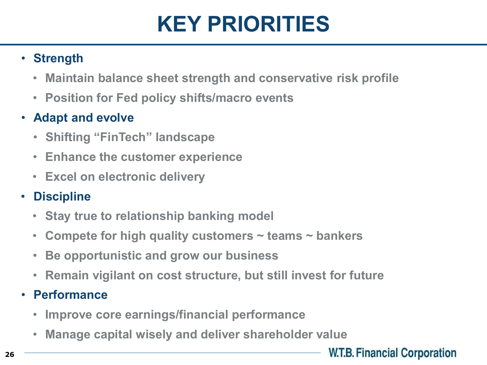## **KEY PRIORITIES**<br>
Neet strength and conservative<br>
licy shifts/macro events<br>
landscape<br>
mer experience<br>
delivery<br>
nship banking model<br>
uality customers ~ teams ~ ban

### • **Strength**

- **Maintain balance sheet strength and conservative risk profile**
- **Position for Fed policy shifts/macro events**

### • **Adapt and evolve**

- **Shifting "FinTech" landscape**
- **Enhance the customer experience**
- **Excel on electronic delivery**
- **Discipline**
	- **Stay true to relationship banking model**
	- **Compete for high quality customers ~ teams ~ bankers**
	- **Be opportunistic and grow our business**
	- **Remain vigilant on cost structure, but still invest for future**

### • **Performance**

- **Improve core earnings/financial performance**
- **Manage capital wisely and deliver shareholder value**